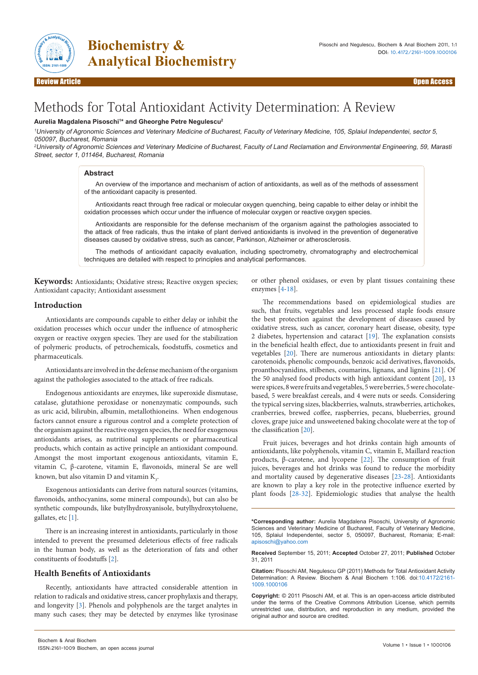

**Biochemistry & Analytical Biochemistry** 

# Methods for Total Antioxidant Activity Determination: A Review

#### **Aurelia Magdalena Pisoschi1\* and Gheorghe Petre Negulescu2**

<sup>1</sup>University of Agronomic Sciences and Veterinary Medicine of Bucharest, Faculty of Veterinary Medicine, 105, Splaiul Independentei, sector 5, 050097, Bucharest, Romania

<sup>2</sup>University of Agronomic Sciences and Veterinary Medicine of Bucharest, Faculty of Land Reclamation and Environmental Engineering, 59, Marasti Street, sector 1, 011464, Bucharest, Romania

## **Abstract**

An overview of the importance and mechanism of action of antioxidants, as well as of the methods of assessment of the antioxidant capacity is presented.

Antioxidants react through free radical or molecular oxygen quenching, being capable to either delay or inhibit the oxidation processes which occur under the influence of molecular oxygen or reactive oxygen species.

Antioxidants are responsible for the defense mechanism of the organism against the pathologies associated to the attack of free radicals, thus the intake of plant derived antioxidants is involved in the prevention of degenerative diseases caused by oxidative stress, such as cancer, Parkinson, Alzheimer or atherosclerosis.

The methods of antioxidant capacity evaluation, including spectrometry, chromatography and electrochemical techniques are detailed with respect to principles and analytical performances.

**Keywords:** Antioxidants; Oxidative stress; Reactive oxygen species; Antioxidant capacity; Antioxidant assessment

## **Introduction**

Antioxidants are compounds capable to either delay or inhibit the oxidation processes which occur under the influence of atmospheric oxygen or reactive oxygen species. They are used for the stabilization of polymeric products, of petrochemicals, foodstuffs, cosmetics and pharmaceuticals.

Antioxidants are involved in the defense mechanism of the organism against the pathologies associated to the attack of free radicals.

Endogenous antioxidants are enzymes, like superoxide dismutase, catalase, glutathione peroxidase or nonenzymatic compounds, such as uric acid, bilirubin, albumin, metallothioneins. When endogenous factors cannot ensure a rigurous control and a complete protection of the organism against the reactive oxygen species, the need for exogenous antioxidants arises, as nutritional supplements or pharmaceutical products, which contain as active principle an antioxidant compound. Amongst the most important exogenous antioxidants, vitamin E, vitamin C, β-carotene, vitamin E, flavonoids, mineral Se are well known, but also vitamin D and vitamin  $K_{3}$ .

Exogenous antioxidants can derive from natural sources (vitamins, flavonoids, anthocyanins, some mineral compounds), but can also be synthetic compounds, like butylhydroxyanisole, butylhydroxytoluene, gallates, etc [1].

There is an increasing interest in antioxidants, particularly in those intended to prevent the presumed deleterious effects of free radicals in the human body, as well as the deterioration of fats and other constituents of foodstuffs [2].

# **Health Benefits of Antioxidants**

Recently, antioxidants have attracted considerable attention in relation to radicals and oxidative stress, cancer prophylaxis and therapy, and longevity [3]. Phenols and polyphenols are the target analytes in many such cases; they may be detected by enzymes like tyrosinase

or other phenol oxidases, or even by plant tissues containing these enzymes [4-18].

The recommendations based on epidemiological studies are such, that fruits, vegetables and less processed staple foods ensure the best protection against the development of diseases caused by oxidative stress, such as cancer, coronary heart disease, obesity, type 2 diabetes, hypertension and cataract [19]. The explanation consists in the beneficial health effect, due to antioxidants present in fruit and vegetables [20]. There are numerous antioxidants in dietary plants: carotenoids, phenolic compounds, benzoic acid derivatives, flavonoids, proanthocyanidins, stilbenes, coumarins, lignans, and lignins [21]. Of the 50 analysed food products with high antioxidant content [20], 13 were spices, 8 were fruits and vegetables, 5 were berries, 5 were chocolatebased, 5 were breakfast cereals, and 4 were nuts or seeds. Considering the typical serving sizes, blackberries, walnuts, strawberries, artichokes, cranberries, brewed coffee, raspberries, pecans, blueberries, ground cloves, grape juice and unsweetened baking chocolate were at the top of the classification [20].

Fruit juices, beverages and hot drinks contain high amounts of antioxidants, like polyphenols, vitamin C, vitamin E, Maillard reaction products, β-carotene, and lycopene [22]. The consumption of fruit juices, beverages and hot drinks was found to reduce the morbidity and mortality caused by degenerative diseases [23-28]. Antioxidants are known to play a key role in the protective influence exerted by plant foods [28-32]. Epidemiologic studies that analyse the health

**\*Corresponding author:** Aurelia Magdalena Pisoschi, University of Agronomic Sciences and Veterinary Medicine of Bucharest, Faculty of Veterinary Medicine, 105, Splaiul Independentei, sector 5, 050097, Bucharest, Romania; E-mail: apisoschi@yahoo.com

**Received** September 15, 2011; **Accepted** October 27, 2011; **Published** October 31, 2011

**Citation:** Pisoschi AM, Negulescu GP (2011) Methods for Total Antioxidant Activity Determination: A Review. Biochem & Anal Biochem 1:106. doi:10.4172/2161- 1009.1000106

**Copyright:** © 2011 Pisoschi AM, et al. This is an open-access article distributed under the terms of the Creative Commons Attribution License, which permits unrestricted use, distribution, and reproduction in any medium, provided the original author and source are credited.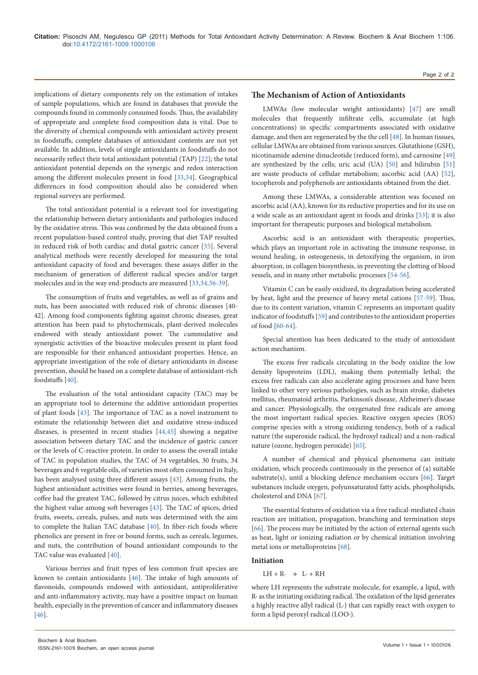implications of dietary components rely on the estimation of intakes of sample populations, which are found in databases that provide the compounds found in commonly consumed foods. Thus, the availability of appropriate and complete food composition data is vital. Due to the diversity of chemical compounds with antioxidant activity present in foodstuffs, complete databases of antioxidant contents are not yet available. In addition, levels of single antioxidants in foodstuffs do not necessarily reflect their total antioxidant potential (TAP) [22]; the total antioxidant potential depends on the synergic and redox interaction among the different molecules present in food [33,34]. Geographical differences in food composition should also be considered when regional surveys are performed.

The total antioxidant potential is a relevant tool for investigating the relationship between dietary antioxidants and pathologies induced by the oxidative stress. This was confirmed by the data obtained from a recent population-based control study, proving that diet TAP resulted in reduced risk of both cardiac and distal gastric cancer [35]. Several analytical methods were recently developed for measuring the total antioxidant capacity of food and beverages: these assays differ in the mechanism of generation of different radical species and/or target molecules and in the way end-products are measured [33,34,36-39].

The consumption of fruits and vegetables, as well as of grains and nuts, has been associated with reduced risk of chronic diseases [40- 42]. Among food components fighting against chronic diseases, great attention has been paid to phytochemicals, plant-derived molecules endowed with steady antioxidant power. The cummulative and synergistic activities of the bioactive molecules present in plant food are responsible for their enhanced antioxidant properties. Hence, an appropriate investigation of the role of dietary antioxidants in disease prevention, should be based on a complete database of antioxidant-rich foodstuffs [40].

The evaluation of the total antioxidant capacity (TAC) may be an appropriate tool to determine the additive antioxidant properties of plant foods [43]. The importance of TAC as a novel instrument to estimate the relationship between diet and oxidative stress-induced diseases, is presented in recent studies [44,45] showing a negative association between dietary TAC and the incidence of gastric cancer or the levels of C-reactive protein. In order to assess the overall intake of TAC in population studies, the TAC of 34 vegetables, 30 fruits, 34 beverages and 6 vegetable oils, of varieties most often consumed in Italy, has been analysed using three different assays [43]. Among fruits, the highest antioxidant activities were found in berries, among beverages, coffee had the greatest TAC, followed by citrus juices, which exhibited the highest value among soft beverages [43]. The TAC of spices, dried fruits, sweets, cereals, pulses, and nuts was determined with the aim to complete the Italian TAC database [40]. In fiber-rich foods where phenolics are present in free or bound forms, such as cereals, legumes, and nuts, the contribution of bound antioxidant compounds to the TAC value was evaluated [40].

Various berries and fruit types of less common fruit species are known to contain antioxidants [46]. The intake of high amounts of flavonoids, compounds endowed with antioxidant, antiproliferative and anti-inflammatory activity, may have a positive impact on human health, especially in the prevention of cancer and inflammatory diseases [46].

# **The Mechanism of Action of Antioxidants**

LMWAs (low molecular weight antioxidants) [47] are small molecules that frequently infiltrate cells, accumulate (at high concentrations) in specific compartments associated with oxidative damage, and then are regenerated by the the cell [48]. In human tissues, cellular LMWAs are obtained from various sources. Glutathione (GSH), nicotinamide adenine dinucleotide (reduced form), and carnosine [49] are synthesized by the cells; uric acid (UA) [50] and bilirubin [51] are waste products of cellular metabolism; ascorbic acid (AA) [52], tocopherols and polyphenols are antioxidants obtained from the diet.

Among these LMWAs, a considerable attention was focused on ascorbic acid (AA), known for its reductive properties and for its use on a wide scale as an antioxidant agent in foods and drinks [53]; it is also important for therapeutic purposes and biological metabolism.

Ascorbic acid is an antioxidant with therapeutic properties, which plays an important role in activating the immune response, in wound healing, in osteogenesis, in detoxifying the organism, in iron absorption, in collagen biosynthesis, in preventing the clotting of blood vessels, and in many other metabolic processes [54-56].

Vitamin C can be easily oxidized, its degradation being accelerated by heat, light and the presence of heavy metal cations [57-59]. Thus, due to its content variation, vitamin C represents an important quality indicator of foodstuffs [59] and contributes to the antioxidant properties of food [60-64].

Special attention has been dedicated to the study of antioxidant action mechanism.

The excess free radicals circulating in the body oxidize the low density lipoproteins (LDL), making them potentially lethal; the excess free radicals can also accelerate aging processes and have been linked to other very serious pathologies, such as brain stroke, diabetes mellitus, rheumatoid arthritis, Parkinson's disease, Alzheimer's disease and cancer. Physiologically, the oxygenated free radicals are among the most important radical species. Reactive oxygen species (ROS) comprise species with a strong oxidizing tendency, both of a radical nature (the superoxide radical, the hydroxyl radical) and a non-radical nature (ozone, hydrogen peroxide) [65].

A number of chemical and physical phenomena can initiate oxidation, which proceeds continuously in the presence of (a) suitable substrate(s), until a blocking defence mechanism occurs [66]. Target substances include oxygen, polyunsaturated fatty acids, phospholipids, cholesterol and DNA [67].

The essential features of oxidation via a free radical-mediated chain reaction are initiation, propagation, branching and termination steps [66]. The process may be initiated by the action of external agents such as heat, light or ionizing radiation or by chemical initiation involving metal ions or metalloproteins [68].

## **Initiation**

 $LH + R$  →  $L + RH$ 

where LH represents the substrate molecule, for example, a lipid, with R∙ as the initiating oxidizing radical. The oxidation of the lipid generates a highly reactive allyl radical (L∙) that can rapidly react with oxygen to form a lipid peroxyl radical (LOO∙).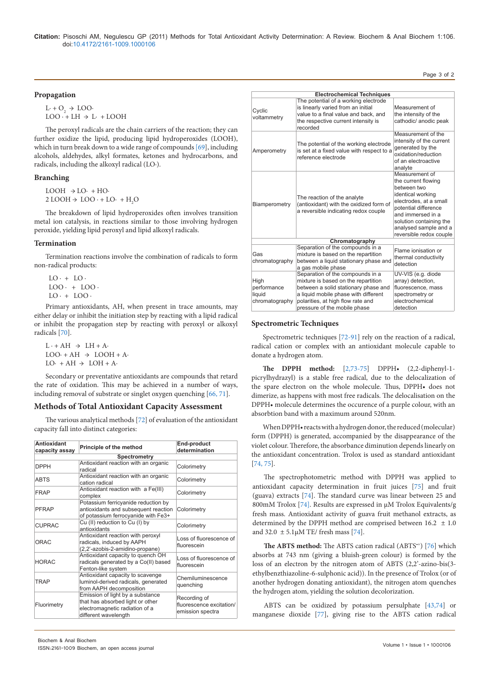Page 3 of 2

# **Propagation**

 $L· + O_2 \rightarrow LOO·$  $LOO·+ LH$  → L⋅ + LOOH

The peroxyl radicals are the chain carriers of the reaction; they can further oxidize the lipid, producing lipid hydroperoxides (LOOH), which in turn break down to a wide range of compounds [69], including alcohols, aldehydes, alkyl formates, ketones and hydrocarbons, and radicals, including the alkoxyl radical (LO∙).

## **Branching**

LOOH → LO∙ + HO∙  $2$  LOOH → LOO  $\cdot$  + LO $\cdot$  + H<sub>2</sub>O

The breakdown of lipid hydroperoxides often involves transition metal ion catalysis, in reactions similar to those involving hydrogen peroxide, yielding lipid peroxyl and lipid alkoxyl radicals.

## **Termination**

Termination reactions involve the combination of radicals to form non-radical products:

 $LO · + LO ·$  $LOO· + LOO·$  $LO \cdot + LOO \cdot$ 

Primary antioxidants, AH, when present in trace amounts, may either delay or inhibit the initiation step by reacting with a lipid radical or inhibit the propagation step by reacting with peroxyl or alkoxyl radicals [70].

 $L \cdot + AH \rightarrow LH + A$  $LOO·+AH$  →  $LOOH + A·$ LO∙ + AH  $\rightarrow$  LOH + A∙

Secondary or preventative antioxidants are compounds that retard the rate of oxidation. This may be achieved in a number of ways, including removal of substrate or singlet oxygen quenching [66, 71].

# **Methods of Total Antioxidant Capacity Assessment**

The various analytical methods [72] of evaluation of the antioxidant capacity fall into distinct categories:

| Antioxidant<br>capacity assay | Principle of the method                                                                                                        | End-product<br>determination                                 |  |
|-------------------------------|--------------------------------------------------------------------------------------------------------------------------------|--------------------------------------------------------------|--|
| <b>Spectrometry</b>           |                                                                                                                                |                                                              |  |
| <b>DPPH</b>                   | Antioxidant reaction with an organic<br>radical                                                                                | Colorimetry                                                  |  |
| <b>ABTS</b>                   | Antioxidant reaction with an organic<br>cation radical                                                                         | Colorimetry                                                  |  |
| <b>FRAP</b>                   | Antioxidant reaction with a Fe(III)<br>complex                                                                                 | Colorimetry                                                  |  |
| PFRAP                         | Potassium ferricyanide reduction by<br>antioxidants and subsequent reaction<br>of potassium ferrocyanide with Fe3+             | Colorimetry                                                  |  |
| <b>CUPRAC</b>                 | Cu (II) reduction to Cu (I) by<br>antioxidants                                                                                 | Colorimetry                                                  |  |
| ORAC                          | Antioxidant reaction with peroxyl<br>radicals, induced by AAPH<br>(2,2'-azobis-2-amidino-propane)                              | Loss of fluorescence of<br>fluorescein                       |  |
| <b>HORAC</b>                  | Antioxidant capacity to quench OH<br>radicals generated by a Co(II) based<br>Fenton-like system                                | Loss of fluorescence of<br>fluorescein                       |  |
| TRAP                          | Antioxidant capacity to scavenge<br>luminol-derived radicals, generated<br>from AAPH decomposition                             | Chemiluminescence<br>quenching                               |  |
| Fluorimetry                   | Emission of light by a substance<br>that has absorbed light or other<br>electromagnetic radiation of a<br>different wavelength | Recording of<br>fluorescence excitation/<br>emission spectra |  |

|                                                 | <b>Electrochemical Techniques</b>                                                                                                                                                                                            |                                                                                                                                                                                                                                 |  |
|-------------------------------------------------|------------------------------------------------------------------------------------------------------------------------------------------------------------------------------------------------------------------------------|---------------------------------------------------------------------------------------------------------------------------------------------------------------------------------------------------------------------------------|--|
| Cyclic<br>voltammetry                           | The potential of a working electrode<br>is linearly varied from an initial<br>value to a final value and back, and<br>the respective current intensity is<br>recorded                                                        | Measurement of<br>the intensity of the<br>cathodic/ anodic peak                                                                                                                                                                 |  |
| Amperometry                                     | The potential of the working electrode<br>is set at a fixed value with respect to a<br>reference electrode                                                                                                                   | Measurement of the<br>intensity of the current<br>generated by the<br>oxidation/reduction<br>of an electroactive<br>analyte                                                                                                     |  |
| Biamperometry                                   | The reaction of the analyte<br>(antioxidant) with the oxidized form of<br>a reversible indicating redox couple                                                                                                               | Measurement of<br>the current flowing<br>between two<br>identical working<br>electrodes, at a small<br>potential difference<br>and immersed in a<br>solution containing the<br>analysed sample and a<br>reversible redox couple |  |
| Chromatography                                  |                                                                                                                                                                                                                              |                                                                                                                                                                                                                                 |  |
| Gas<br>chromatography                           | Separation of the compounds in a<br>mixture is based on the repartition<br>between a liquid stationary phase and<br>a gas mobile phase                                                                                       | Flame ionisation or<br>thermal conductivity<br>detection                                                                                                                                                                        |  |
| High<br>performance<br>liquid<br>chromatography | Separation of the compounds in a<br>mixture is based on the repartition<br>between a solid stationary phase and<br>a liquid mobile phase with different<br>polarities, at high flow rate and<br>pressure of the mobile phase | UV-VIS (e.g. diode<br>array) detection,<br>fluorescence, mass<br>spectrometry or<br>electrochemical<br>detection                                                                                                                |  |

#### **Spectrometric Techniques**

Spectrometric techniques [72-91] rely on the reaction of a radical, radical cation or complex with an antioxidant molecule capable to donate a hydrogen atom.

**The DPPH method:** [2,73-75] DPPH• (2,2-diphenyl-1 picrylhydrazyl) is a stable free radical, due to the delocalization of the spare electron on the whole molecule. Thus, DPPH• does not dimerize, as happens with most free radicals. The delocalisation on the DPPH• molecule determines the occurence of a purple colour, with an absorbtion band with a maximum around 520nm.

When DPPH• reacts with a hydrogen donor, the reduced (molecular) form (DPPH) is generated, accompanied by the disappearance of the violet colour. Therefore, the absorbance diminution depends linearly on the antioxidant concentration. Trolox is used as standard antioxidant [74, 75].

The spectrophotometric method with DPPH was applied to antioxidant capacity determination in fruit juices [75] and fruit (guava) extracts [74]. The standard curve was linear between 25 and 800mM Trolox [74]. Results are expressed in µM Trolox Equivalents/g fresh mass. Antioxidant activity of guava fruit methanol extracts, as determined by the DPPH method are comprised between 16.2 ± 1.0 and  $32.0 \pm 5.1 \mu M$  TE/ fresh mass [74].

**The ABTS method:** The ABTS cation radical (ABTS<sup>++</sup>) [76] which absorbs at 743 nm (giving a bluish-green colour) is formed by the loss of an electron by the nitrogen atom of ABTS (2,2'-azino-bis(3 ethylbenzthiazoline-6-sulphonic acid)). In the presence of Trolox (or of another hydrogen donating antioxidant), the nitrogen atom quenches the hydrogen atom, yielding the solution decolorization.

ABTS can be oxidized by potassium persulphate [43,74] or manganese dioxide [77], giving rise to the ABTS cation radical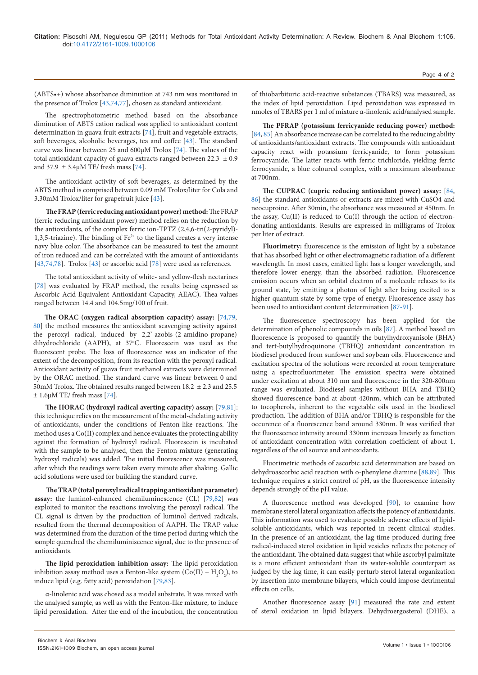(ABTS•+) whose absorbance diminution at 743 nm was monitored in the presence of Trolox [43,74,77], chosen as standard antioxidant.

The spectrophotometric method based on the absorbance diminution of ABTS cation radical was applied to antioxidant content determination in guava fruit extracts [74], fruit and vegetable extracts, soft beverages, alcoholic beverages, tea and coffee [43]. The standard curve was linear between 25 and 600µM Trolox [74]. The values of the total antioxidant capacity of guava extracts ranged between  $22.3 \pm 0.9$ and 37.9  $\pm$  3.4 $\mu$ M TE/ fresh mass [74].

The antioxidant activity of soft beverages, as determined by the ABTS method is comprised between 0.09 mM Trolox/liter for Cola and 3.30mM Trolox/liter for grapefruit juice [43].

**The FRAP (ferric reducing antioxidant power) method:** The FRAP (ferric reducing antioxidant power) method relies on the reduction by the antioxidants, of the complex ferric ion-TPTZ (2,4,6-tri(2-pyridyl)- 1,3,5-triazine). The binding of  $Fe^{2+}$  to the ligand creates a very intense navy blue color. The absorbance can be measured to test the amount of iron reduced and can be correlated with the amount of antioxidants [43,74,78]. Trolox [43] or ascorbic acid [78] were used as references.

The total antioxidant activity of white- and yellow-flesh nectarines [78] was evaluated by FRAP method, the results being expressed as Ascorbic Acid Equivalent Antioxidant Capacity, AEAC). Thea values ranged between 14.4 and 104.5mg/100 of fruit.

**The ORAC (oxygen radical absorption capacity) assay:** [74,79, 80] the method measures the antioxidant scavenging activity against the peroxyl radical, induced by 2,2'-azobis-(2-amidino-propane) dihydrochloride (AAPH), at 37°C. Fluorescein was used as the fluorescent probe. The loss of fluorescence was an indicator of the extent of the decomposition, from its reaction with the peroxyl radical. Antioxidant activity of guava fruit methanol extracts were determined by the ORAC method. The standard curve was linear between 0 and 50mM Trolox. The obtained results ranged between  $18.2 \pm 2.3$  and  $25.5$  $± 1.6 \mu M$  TE/ fresh mass [74].

**The HORAC (hydroxyl radical averting capacity) assay:** [79,81]: this technique relies on the measurement of the metal-chelating activity of antioxidants, under the conditions of Fenton-like reactions. The method uses a Co(II) complex and hence evaluates the protecting ability against the formation of hydroxyl radical. Fluorescein is incubated with the sample to be analysed, then the Fenton mixture (generating hydroxyl radicals) was added. The initial fluorescence was measured, after which the readings were taken every minute after shaking. Gallic acid solutions were used for building the standard curve.

**The TRAP (total peroxyl radical trapping antioxidant parameter) assay:** the luminol-enhanced chemiluminescence (CL) [79,82] was exploited to monitor the reactions involving the peroxyl radical. The CL signal is driven by the production of luminol derived radicals, resulted from the thermal decomposition of AAPH. The TRAP value was determined from the duration of the time period during which the sample quenched the chemiluminiscence signal, due to the presence of antioxidants.

**The lipid peroxidation inhibition assay:** The lipid peroxidation inhibition assay method uses a Fenton-like system ( $Co(II) + H_2O_2$ ), to induce lipid (e.g. fatty acid) peroxidation [79,83].

α-linolenic acid was chosed as a model substrate. It was mixed with the analysed sample, as well as with the Fenton-like mixture, to induce lipid peroxidation. After the end of the incubation, the concentration

of thiobarbituric acid-reactive substances (TBARS) was measured, as the index of lipid peroxidation. Lipid peroxidation was expressed in nmoles of TBARS per 1 ml of mixture α-linolenic acid/analysed sample.

**The PFRAP (potassium ferricyanide reducing power) method:** [84, 85] An absorbance increase can be correlated to the reducing ability of antioxidants/antioxidant extracts. The compounds with antioxidant capacity react with potassium ferricyanide, to form potassium ferrocyanide. The latter reacts with ferric trichloride, yielding ferric ferrocyanide, a blue coloured complex, with a maximum absorbance at 700nm.

**The CUPRAC (cupric reducing antioxidant power) assay:** [84, 86] the standard antioxidants or extracts are mixed with CuSO4 and neocuproine. After 30min, the absorbance was measured at 450nm. In the assay, Cu(II) is reduced to Cu(I) through the action of electrondonating antioxidants. Results are expressed in milligrams of Trolox per liter of extract.

**Fluorimetry:** fluorescence is the emission of light by a substance that has absorbed light or other electromagnetic radiation of a different wavelength. In most cases, emitted light has a longer wavelength, and therefore lower energy, than the absorbed radiation. Fluorescence emission occurs when an orbital electron of a molecule relaxes to its ground state, by emitting a photon of light after being excited to a higher quantum state by some type of energy. Fluorescence assay has been used to antioxidant content determination [87-91].

The fluorescence spectroscopy has been applied for the determination of phenolic compounds in oils [87]. A method based on fluorescence is proposed to quantify the butylhydroxyanisole (BHA) and tert-butylhydroquinone (TBHQ) antioxidant concentration in biodiesel produced from sunfower and soybean oils. Fluorescence and excitation spectra of the solutions were recorded at room temperature using a spectrofluorimeter. The emission spectra were obtained under excitation at about 310 nm and fluorescence in the 320-800nm range was evaluated. Biodiesel samples without BHA and TBHQ showed fluorescence band at about 420nm, which can be attributed to tocopherols, inherent to the vegetable oils used in the biodiesel production. The addition of BHA and/or TBHQ is responsible for the occurence of a fluorescence band around 330nm. It was verified that the fluorescence intensity around 330nm increases linearly as function of antioxidant concentration with correlation coefficient of about 1, regardless of the oil source and antioxidants.

Fluorimetric methods of ascorbic acid determination are based on dehydroascorbic acid reaction with o-phenylene diamine [88,89]. This technique requires a strict control of pH, as the fluorescence intensity depends strongly of the pH value.

A fluorescence method was developed [90], to examine how membrane sterol lateral organization affects the potency of antioxidants. This information was used to evaluate possible adverse effects of lipidsoluble antioxidants, which was reported in recent clinical studies. In the presence of an antioxidant, the lag time produced during free radical-induced sterol oxidation in lipid vesicles reflects the potency of the antioxidant. The obtained data suggest that while ascorbyl palmitate is a more efficient antioxidant than its water-soluble counterpart as judged by the lag time, it can easily perturb sterol lateral organization by insertion into membrane bilayers, which could impose detrimental effects on cells.

Another fluorescence assay [91] measured the rate and extent of sterol oxidation in lipid bilayers. Dehydroergosterol (DHE), a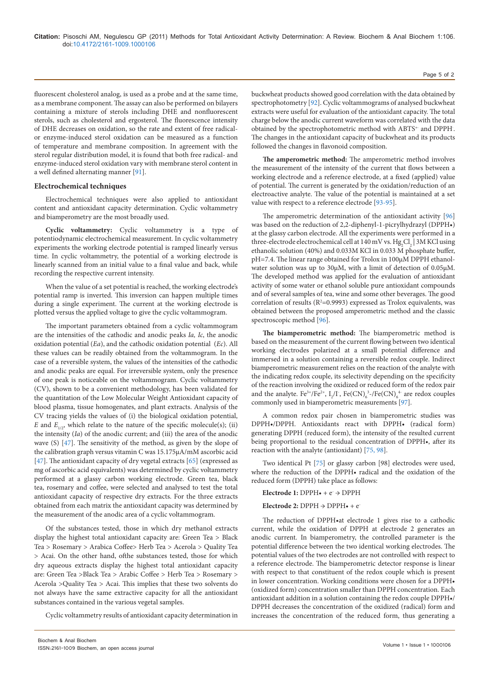fluorescent cholesterol analog, is used as a probe and at the same time, as a membrane component. The assay can also be performed on bilayers containing a mixture of sterols including DHE and nonfluorescent sterols, such as cholesterol and ergosterol. The fluorescence intensity of DHE decreases on oxidation, so the rate and extent of free radicalor enzyme-induced sterol oxidation can be measured as a function of temperature and membrane composition. In agreement with the sterol regular distribution model, it is found that both free radical- and enzyme-induced sterol oxidation vary with membrane sterol content in a well defined alternating manner [91].

#### **Electrochemical techniques**

Electrochemical techniques were also applied to antioxidant content and antioxidant capacity determination. Cyclic voltammetry and biamperometry are the most broadly used.

**Cyclic voltammetry:** Cyclic voltammetry is a type of potentiodynamic electrochemical measurement. In cyclic voltammetry experiments the working electrode potential is ramped linearly versus time. In cyclic voltammetry, the potential of a working electrode is linearly scanned from an initial value to a final value and back, while recording the respective current intensity.

When the value of a set potential is reached, the working electrode's potential ramp is inverted. This inversion can happen multiple times during a single experiment. The current at the working electrode is plotted versus the applied voltage to give the cyclic voltammogram.

The important parameters obtained from a cyclic voltammogram are the intensities of the cathodic and anodic peaks *Ia, Ic*, the anodic oxidation potential (*Ea*), and the cathodic oxidation potential (*Ec*). All these values can be readily obtained from the voltammogram. In the case of a reversible system, the values of the intensities of the cathodic and anodic peaks are equal. For irreversible system, only the presence of one peak is noticeable on the voltammogram. Cyclic voltammetry (CV), shown to be a convenient methodology, has been validated for the quantitation of the Low Molecular Weight Antioxidant capacity of blood plasma, tissue homogenates, and plant extracts. Analysis of the CV tracing yields the values of (i) the biological oxidation potential, *E* and  $E_{1/2}$ , which relate to the nature of the specific molecule(s); (ii) the intensity (*Ia*) of the anodic current; and (iii) the area of the anodic wave (S) [47]. The sensitivity of the method, as given by the slope of the calibration graph versus vitamin C was 15.175µA/mM ascorbic acid [47]. The antioxidant capacity of dry vegetal extracts [65] (expressed as mg of ascorbic acid equivalents) was determined by cyclic voltammetry performed at a glassy carbon working electrode. Green tea, black tea, rosemary and coffee, were selected and analysed to test the total antioxidant capacity of respective dry extracts. For the three extracts obtained from each matrix the antioxidant capacity was determined by the measurement of the anodic area of a cyclic voltammogram.

Of the substances tested, those in which dry methanol extracts display the highest total antioxidant capacity are: Green Tea > Black Tea > Rosemary > Arabica Coffee> Herb Tea > Acerola > Quality Tea > Acai. On the other hand, ofthe substances tested, those for which dry aqueous extracts display the highest total antioxidant capacity are: Green Tea >Black Tea > Arabic Coffee > Herb Tea > Rosemary > Acerola >Quality Tea > Acai. This implies that these two solvents do not always have the same extractive capacity for all the antioxidant substances contained in the various vegetal samples.

Cyclic voltammetry results of antioxidant capacity determination in

buckwheat products showed good correlation with the data obtained by spectrophotometry [92]. Cyclic voltammograms of analysed buckwheat extracts were useful for evaluation of the antioxidant capacity. The total charge below the anodic current waveform was correlated with the data obtained by the spectrophotometric method with ABTS<sup>+</sup> and DPPH<sup>2</sup>. The changes in the antioxidant capacity of buckwheat and its products followed the changes in flavonoid composition.

**The amperometric method:** The amperometric method involves the measurement of the intensity of the current that flows between a working electrode and a reference electrode, at a fixed (applied) value of potential. The current is generated by the oxidation/reduction of an electroactive analyte. The value of the potential is maintained at a set value with respect to a reference electrode [93-95].

The amperometric determination of the antioxidant activity [96] was based on the reduction of 2,2-diphenyl-1-picrylhydrazyl (DPPH•) at the glassy carbon electrode. All the experiments were performed in a three-electrode electrochemical cell at 140 mV vs.  $Hg_2Cl_2$  | 3M KCl using ethanolic solution (40%) and 0.033M KCl in 0.033 M phosphate buffer, pH=7.4. The linear range obtained for Trolox in 100µM DPPH ethanolwater solution was up to 30µM, with a limit of detection of 0.05µM. The developed method was applied for the evaluation of antioxidant activity of some water or ethanol soluble pure antioxidant compounds and of several samples of tea, wine and some other beverages. The good correlation of results ( $R^2$ =0.9993) expressed as Trolox equivalents, was obtained between the proposed amperometric method and the classic spectroscopic method [96].

**The biamperometric method:** The biamperometric method is based on the measurement of the current flowing between two identical working electrodes polarized at a small potential difference and immersed in a solution containing a reversible redox couple. Indirect biamperometric measurement relies on the reaction of the analyte with the indicating redox couple, its selectivity depending on the specificity of the reaction involving the oxidized or reduced form of the redox pair and the analyte. Fe<sup>3+</sup>/Fe<sup>2+</sup>,  $I_2/I$ ; Fe(CN)<sub>6</sub><sup>2</sup>-/Fe(CN)<sub>6</sub><sup>4</sup> are redox couples commonly used in biamperometric measurements [97].

A common redox pair chosen in biamperometric studies was DPPH•/DPPH. Antioxidants react with DPPH• (radical form) generating DPPH (reduced form), the intensity of the resulted current being proportional to the residual concentration of DPPH•, after its reaction with the analyte (antioxidant) [75, 98].

Two identical Pt [75] or glassy carbon [98] electrodes were used, where the reduction of the DPPH• radical and the oxidation of the reduced form (DPPH) take place as follows:

#### **Electrode 1:** DPPH• + e<sup>-</sup> → DPPH

**Electrode 2:**  $DPPH \rightarrow DPPH \bullet + e$ 

The reduction of DPPH•at electrode 1 gives rise to a cathodic current, while the oxidation of DPPH at electrode 2 generates an anodic current. In biamperometry, the controlled parameter is the potential difference between the two identical working electrodes. The potential values of the two electrodes are not controlled with respect to a reference electrode. The biamperometric detector response is linear with respect to that constituent of the redox couple which is present in lower concentration. Working conditions were chosen for a DPPH• (oxidized form) concentration smaller than DPPH concentration. Each antioxidant addition in a solution containing the redox couple DPPH•/ DPPH decreases the concentration of the oxidized (radical) form and increases the concentration of the reduced form, thus generating a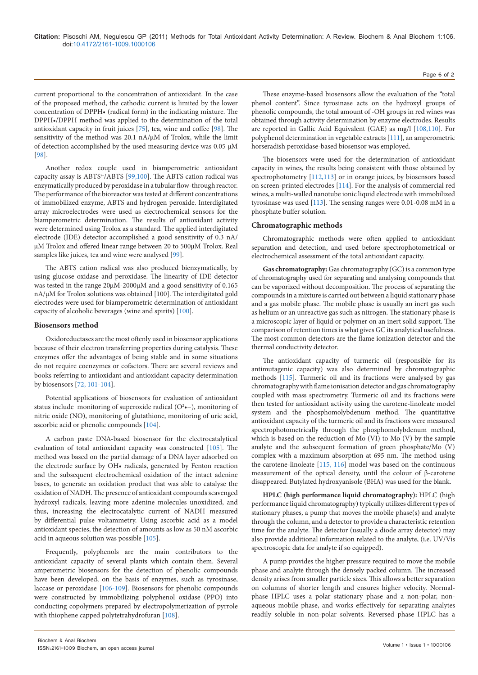current proportional to the concentration of antioxidant. In the case of the proposed method, the cathodic current is limited by the lower concentration of DPPH• (radical form) in the indicating mixture. The DPPH•/DPPH method was applied to the determination of the total antioxidant capacity in fruit juices [75], tea, wine and coffee [98]. The sensitivity of the method was 20.1 nA/ $\mu$ M of Trolox, while the limit of detection accomplished by the used measuring device was 0.05 µM [98].

Another redox couple used in biamperometric antioxidant enzymatically produced by peroxidase in a tubular flow-through reactor. The performance of the bioreactor was tested at different concentrations of immobilized enzyme, ABTS and hydrogen peroxide. Interdigitated array microelectrodes were used as electrochemical sensors for the biamperometric determination. The results of antioxidant activity were determined using Trolox as a standard. The applied interdigitated electrode (IDE) detector accomplished a good sensitivity of 0.3 nA/ µM Trolox and offered linear range between 20 to 500µM Trolox. Real samples like juices, tea and wine were analysed [99]. capacity assay is ABTS<sup>+</sup>/ABTS [99,100]. The ABTS cation radical was

The ABTS cation radical was also produced bienzymatically, by using glucose oxidase and peroxidase. The linearity of IDE detector was tested in the range 20µM-2000µM and a good sensitivity of 0.165 nA/µM for Trolox solutions was obtained [100]. The interdigitated gold electrodes were used for biamperometric determination of antioxidant capacity of alcoholic beverages (wine and spirits) [100].

## **Biosensors method**

Oxidoreductases are the most oftenly used in biosensor applications because of their electron transferring properties during catalysis. These enzymes offer the advantages of being stable and in some situations do not require coenzymes or cofactors. There are several reviews and books referring to antioxidant and antioxidant capacity determination by biosensors [72, 101-104].

Potential applications of biosensors for evaluation of antioxidant status include monitoring of superoxide radical  $(O<sup>2</sup>•-)$ , monitoring of nitric oxide (NO), monitoring of glutathione, monitoring of uric acid, ascorbic acid or phenolic compounds [104].

A carbon paste DNA-based biosensor for the electrocatalytical evaluation of total antioxidant capacity was constructed [105]. The method was based on the partial damage of a DNA layer adsorbed on the electrode surface by OH• radicals, generated by Fenton reaction and the subsequent electrochemical oxidation of the intact adenine bases, to generate an oxidation product that was able to catalyse the oxidation of NADH. The presence of antioxidant compounds scavenged hydroxyl radicals, leaving more adenine molecules unoxidized, and thus, increasing the electrocatalytic current of NADH measured by differential pulse voltammetry. Using ascorbic acid as a model antioxidant species, the detection of amounts as low as 50 nM ascorbic acid in aqueous solution was possible [105].

Frequently, polyphenols are the main contributors to the antioxidant capacity of several plants which contain them. Several amperometric biosensors for the detection of phenolic compounds have been developed, on the basis of enzymes, such as tyrosinase, laccase or peroxidase [106-109]. Biosensors for phenolic compounds were constructed by immobilizing polyphenol oxidase (PPO) into conducting copolymers prepared by electropolymerization of pyrrole with thiophene capped polytetrahydrofuran [108].

These enzyme-based biosensors allow the evaluation of the "total phenol content". Since tyrosinase acts on the hydroxyl groups of phenolic compounds, the total amount of -OH groups in red wines was obtained through activity determination by enzyme electrodes. Results are reported in Gallic Acid Equivalent (GAE) as mg/l [108,110]. For polyphenol determination in vegetable extracts [111], an amperometric horseradish peroxidase-based biosensor was employed.

The biosensors were used for the determination of antioxidant capacity in wines, the results being consistent with those obtained by spectrophotometry [112,113] or in orange juices, by biosensors based on screen-printed electrodes [114]. For the analysis of commercial red wines, a multi-walled nanotube ionic liquid electrode with immobilized tyrosinase was used [113]. The sensing ranges were 0.01-0.08 mM in a phosphate buffer solution.

# **Chromatographic methods**

Chromatographic methods were often applied to antioxidant separation and detection, and used before spectrophotometrical or electrochemical assessment of the total antioxidant capacity.

**Gas chromatography:** Gas chromatography (GC) is a common type of chromatography used for separating and analysing compounds that can be vaporized without decomposition. The process of separating the compounds in a mixture is carried out between a liquid stationary phase and a gas mobile phase. The mobile phase is usually an inert gas such as helium or an unreactive gas such as nitrogen. The stationary phase is a microscopic layer of liquid or polymer on an inert solid support. The comparison of retention times is what gives GC its analytical usefulness. The most common detectors are the flame ionization detector and the thermal conductivity detector.

The antioxidant capacity of turmeric oil (responsible for its antimutagenic capacity) was also determined by chromatographic methods [115]. Turmeric oil and its fractions were analysed by gas chromatography with flame ionisation detector and gas chromatography coupled with mass spectrometry. Turmeric oil and its fractions were then tested for antioxidant activity using the carotene-linoleate model system and the phosphomolybdenum method. The quantitative antioxidant capacity of the turmeric oil and its fractions were measured spectrophotometrically through the phosphomolybdenum method, which is based on the reduction of Mo (VI) to Mo (V) by the sample analyte and the subsequent formation of green phosphate/Mo (V) complex with a maximum absorption at 695 nm. The method using the carotene-linoleate [115, 116] model was based on the continuous measurement of the optical density, until the colour of β-carotene disappeared. Butylated hydroxyanisole (BHA) was used for the blank.

**HPLC (high performance liquid chromatography):** HPLC (high performance liquid chromatography) typically utilizes different types of stationary phases, a pump that moves the mobile phase(s) and analyte through the column, and a detector to provide a characteristic retention time for the analyte. The detector (usually a diode array detector) may also provide additional information related to the analyte, (i.e. UV/Vis spectroscopic data for analyte if so equipped).

A pump provides the higher pressure required to move the mobile phase and analyte through the densely packed column. The increased density arises from smaller particle sizes. This allows a better separation on columns of shorter length and ensures higher velocity. Normalphase HPLC uses a polar stationary phase and a non-polar, nonaqueous mobile phase, and works effectively for separating analytes readily soluble in non-polar solvents. Reversed phase HPLC has a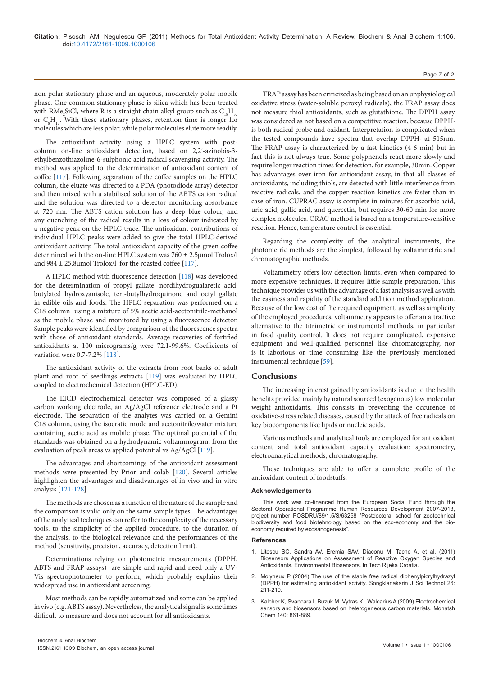non-polar stationary phase and an aqueous, moderately polar mobile phase. One common stationary phase is silica which has been treated with RMe<sub>2</sub>SiCl, where R is a straight chain alkyl group such as  $\rm C_{_{18}H_{_{37}}}$ or  $C_8H_{17}$ . With these stationary phases, retention time is longer for molecules which are less polar, while polar molecules elute more readily.

The antioxidant activity using a HPLC system with postcolumn on-line antioxidant detection, based on 2,2'-azinobis-3 ethylbenzothiazoline-6-sulphonic acid radical scavenging activity. The method was applied to the determination of antioxidant content of coffee [117]. Following separation of the coffee samples on the HPLC column, the eluate was directed to a PDA (photodiode array) detector and then mixed with a stabilised solution of the ABTS cation radical and the solution was directed to a detector monitoring absorbance at 720 nm. The ABTS cation solution has a deep blue colour, and any quenching of the radical results in a loss of colour indicated by a negative peak on the HPLC trace. The antioxidant contributions of individual HPLC peaks were added to give the total HPLC-derived antioxidant activity. The total antioxidant capacity of the green coffee determined with the on-line HPLC system was 760 ± 2.5µmol Trolox/l and  $984 \pm 25.8$ µmol Trolox/l for the roasted coffee [117].

A HPLC method with fluorescence detection [118] was developed for the determination of propyl gallate, nordihydroguaiaretic acid, butylated hydroxyanisole, tert-butylhydroquinone and octyl gallate in edible oils and foods. The HPLC separation was performed on a C18 column using a mixture of 5% acetic acid-acetonitrile-methanol as the mobile phase and monitored by using a fluorescence detector. Sample peaks were identified by comparison of the fluorescence spectra with those of antioxidant standards. Average recoveries of fortified antioxidants at 100 micrograms/g were 72.1-99.6%. Coefficients of variation were 0.7-7.2% [118].

The antioxidant activity of the extracts from root barks of adult plant and root of seedlings extracts [119] was evaluated by HPLC coupled to electrochemical detection (HPLC-ED).

The EICD electrochemical detector was composed of a glassy carbon working electrode, an Ag/AgCl reference electrode and a Pt electrode. The separation of the analytes was carried on a Gemini C18 column, using the isocratic mode and acetonitrile/water mixture containing acetic acid as mobile phase. The optimal potential of the standards was obtained on a hydrodynamic voltammogram, from the evaluation of peak areas vs applied potential vs Ag/AgCl [119].

The advantages and shortcomings of the antioxidant assessment methods were presented by Prior and colab [120]. Several articles highlighten the advantages and disadvantages of in vivo and in vitro analysis [121-128].

The methods are chosen as a function of the nature of the sample and the comparison is valid only on the same sample types. The advantages of the analytical techniques can reffer to the complexity of the necessary tools, to the simplicity of the applied procedure, to the duration of the analysis, to the biological relevance and the performances of the method (sensitivity, precision, accuracy, detection limit).

Determinations relying on photometric measurements (DPPH, ABTS and FRAP assays) are simple and rapid and need only a UV-Vis spectrophotometer to perform, which probably explains their widespread use in antioxidant screening.

Most methods can be rapidly automatized and some can be applied in vivo (e.g. ABTS assay). Nevertheless, the analytical signal is sometimes difficult to measure and does not account for all antioxidants.

TRAP assay has been criticized as being based on an unphysiological oxidative stress (water-soluble peroxyl radicals), the FRAP assay does not measure thiol antioxidants, such as glutathione. The DPPH assay was considered as not based on a competitive reaction, because DPPH∙ is both radical probe and oxidant. Interpretation is complicated when the tested compounds have spectra that overlap DPPH∙ at 515nm. The FRAP assay is characterized by a fast kinetics (4-6 min) but in fact this is not always true. Some polyphenols react more slowly and require longer reaction times for detection, for example, 30min. Copper has advantages over iron for antioxidant assay, in that all classes of antioxidants, including thiols, are detected with little interference from reactive radicals, and the copper reaction kinetics are faster than in case of iron. CUPRAC assay is complete in minutes for ascorbic acid, uric acid, gallic acid, and quercetin, but requires 30-60 min for more complex molecules. ORAC method is based on a temperature-sensitive reaction. Hence, temperature control is essential.

Regarding the complexity of the analytical instruments, the photometric methods are the simplest, followed by voltammetric and chromatographic methods.

Voltammetry offers low detection limits, even when compared to more expensive techniques. It requires little sample preparation. This technique provides us with the advantage of a fast analysis as well as with the easiness and rapidity of the standard addition method application. Because of the low cost of the required equipment, as well as simplicity of the employed procedures, voltammetry appears to offer an attractive alternative to the titrimetric or instrumental methods, in particular in food quality control. It does not require complicated, expensive equipment and well-qualified personnel like chromatography, nor is it laborious or time consuming like the previously mentioned instrumental technique [59].

# **Conclusions**

The increasing interest gained by antioxidants is due to the health benefits provided mainly by natural sourced (exogenous) low molecular weight antioxidants. This consists in preventing the occurence of oxidative-stress related diseases, caused by the attack of free radicals on key biocomponents like lipids or nucleic acids.

Various methods and analytical tools are employed for antioxidant content and total antioxidant capacity evaluation: spectrometry, electroanalytical methods, chromatography.

These techniques are able to offer a complete profile of the antioxidant content of foodstuffs.

## **Acknowledgements**

This work was co-financed from the European Social Fund through the Sectoral Operational Programme Human Resources Development 2007-2013, project number POSDRU/89/1.5/S/63258 "Postdoctoral school for zootechnical biodiversity and food biotehnology based on the eco-economy and the bioeconomy required by ecosanogenesis".

#### **References**

- 1. [Litescu SC, Sandra AV, Eremia SAV, Diaconu M, Tache A, et al. \(2011\)](http://www.intechopen.com/source/pdfs/16449/InTech-Biosensors_applications_on_assessment_of_reactive_oxygen_species_and_antioxidants.pdf)  Biosensors Applications on Assessment of Reactive Oxygen Species and Antioxidants. Environmental Biosensors. In Tech Rijeka Croatia.
- 2. [Molyneux P \(2004\) The use of the stable free radical diphenylpicrylhydrazyl](http://www.thaiscience.info/Article%20for%20ThaiScience/Article/5/Ts-5%20the%20use%20of%20the%20stable%20free%20radical%20diphenylpicrylhydrazyl%20%28dpph%29%20for%20estimating%20antioxidant%20activity.pdf)  (DPPH) for estimating antioxidant activity. Songklanakarin J Sci Technol 26: 211-219.
- 3. [Kalcher K, Svancara I, Buzuk M, Vytras K , Walcarius A \(2009\) Electrochemical](http://www.springerlink.com/content/9j701h252837w623/)  sensors and biosensors based on heterogeneous carbon materials. Monatsh Chem 140: 861-889.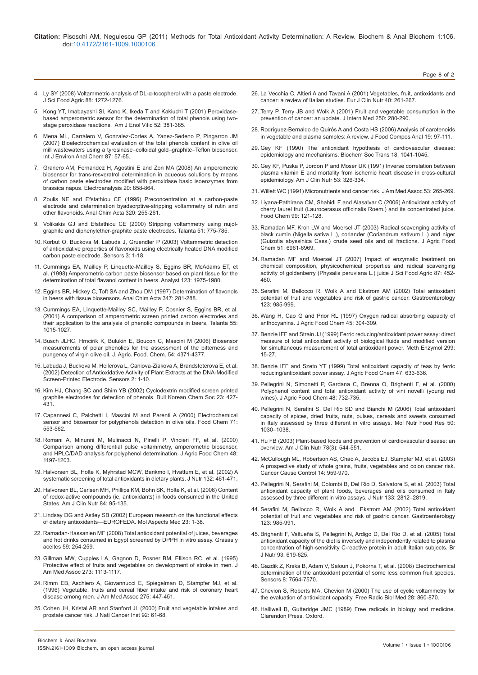- 4. [Ly SY \(2008\) Voltammetric analysis of DL-α-tocopherol with a paste electrode.](E:\BABCR Journal\manuscripts\BABCR-11-330\onlinelibrary.wiley.com\doi\10.1002\jsfa.3218\full) J Sci Food Agric 88: 1272-1276.
- 5. [Kong YT, Imabayashi SI, Kano K, Ikeda T and Kakiuchi T \(2001\) Peroxidase](http://www.ajevonline.org/content/52/4/381.abstract)based amperometric sensor for the determination of total phenols using twostage peroxidase reactions. Am J Enol Vitic 52: 381-385.
- 6. [Mena ML, Carralero V, Gonzalez-Cortes A, Yanez-Sedeno P, Pingarron JM](http://www.tandfonline.com/doi/abs/10.1080/03067310600833385) (2007) Bioelectrochemical evaluation of the total phenols content in olive oil mill wastewaters using a tyrosinase–colloidal gold–graphite–Teflon biosensor. Int J Environ Anal Chem 87: 57-65.
- 7. [Granero AM, Fernandez H, Agostini E and Zon MA \(2008\) An amperometric](http://onlinelibrary.wiley.com/doi/10.1002/elan.200704109/abstract) biosensor for trans-resveratrol determination in aqueous solutions by means of carbon paste electrodes modified with peroxidase basic isoenzymes from brassica napus. Electroanalysis 20: 858-864.
- 8. [Zoulis NE and Efstathiou CE \(1996\) Preconcentration at a carbon-paste](http://www.sciencedirect.com/science/article/pii/0003267095005366) electrode and determination byadsorptive-stripping voltammetry of rutin and other flavonoids. Anal Chim Acta 320: 255-261.
- 9. [Volikakis GJ and Efstathiou CE \(2000\) Stripping voltammetry using nujol](http://www.ncbi.nlm.nih.gov/pubmed?term=Stripping%20voltammetry%20using%20nujol-graphite%20and%20diphenylether-graphite%20paste%20electrodes.%20)graphite and diphenylether-graphite paste electrodes. Talanta 51: 775-785.
- 10. [Korbut O, Buckova M, Labuda J, Gruendler P \(2003\) Voltammetric detection](http://www.mdpi.com/1424-8220/3/1/1/) of antioxidative properties of flavonoids using electrically heated DNA modified carbon paste electrode. Sensors 3: 1-18.
- 11. Cummings EA, Mailley P, Linquette-Mailley S, Eggins BR, McAdams ET, et [al. \(1998\) Amperometric carbon paste biosensor based on plant tissue for the](http://pubs.rsc.org/en/Content/ArticleLanding/1998/AN/a804021d) determination of total flavanol content in beers. Analyst 123: 1975-1980.
- 12. [Eggins BR, Hickey C, Toft SA and Zhou DM \(1997\) Determination of flavonols](http://www.sciencedirect.com/science/article/pii/S0003267097001621) in beers with tissue biosensors. Anal Chim Acta 347: 281-288.
- 13. [Cummings EA, Linquette-Mailley SC, Mailley P, Cosnier S, Eggins BR, et al.](http://www.ncbi.nlm.nih.gov/pubmed?term=A%20comparison%20of%20amperometric%20screen%20printed%20carbon%20electrodes%20and%20their%20application%20to%20the%20analysis%20of%20phenolic%20compounds%20in%20beers) (2001) A comparison of amperometric screen printed carbon electrodes and their application to the analysis of phenolic compounds in beers. Talanta 55: 1015-1027.
- 14. [Busch JLHC, Hrncirik K, Bulukin E, Boucon C, Mascini M \(2006\) Biosensor](http://www.ncbi.nlm.nih.gov/pubmed?term=Biosensor%20measurements%20of%20polar%20phenolics%20for%20the%20assessment%20of%20the%20bitterness%20and%20pungency%20of%20virgin%20olive%20oil.) measurements of polar phenolics for the assessment of the bitterness and pungency of virgin olive oil. J. Agric. Food. Chem. 54: 4371-4377.
- 15. [Labuda J, Buckova M, Heilerova L, Caniova-Ziakova A, Brandsteterova E, et al.](http://www.mdpi.com/1424-8220/2/1/1/) (2002) Detection of Antioxidative Activity of Plant Extracts at the DNA-Modified Screen-Printed Electrode. Sensors 2: 1-10.
- 16. [Kim HJ, Chang SC and Shim YB \(2002\) Cyclodextrin modified screen printed](http://cat.inist.fr/?aModele=afficheN&cpsidt=13693246) graphite electrodes for detection of phenols. Bull Korean Chem Soc 23: 427- 431.
- 17. [Capannesi C, Palchetti I, Mascini M and Parenti A \(2000\) Electrochemical](http://www.sciencedirect.com/science/article/pii/S0308814600002119) sensor and biosensor for polyphenols detection in olive oils. Food Chem 71: 553-562.
- 18. [Romani A, Minunni M, Mulinacci N, Pinelli P, Vincieri FF, et al. \(2000\)](http://www.ncbi.nlm.nih.gov/pubmed?term=Comparison%20among%20differential%20pulse%20voltammetry%2C%20amperometric%20biosensor%2C%20and%20HPLC%2FDAD%20analysis%20for%20polyphenol%20determination) Comparison among differential pulse voltammetry, amperometric biosensor, and HPLC/DAD analysis for polyphenol determination. J Agric Food Chem 48: 1197-1203.
- 19. [Halvorsen BL, Holte K, Myhrstad MCW, Barikmo I, Hvattum E, et al. \(2002\) A](http://www.ncbi.nlm.nih.gov/pubmed/11880572)  systematic screening of total antioxidants in dietary plants. J Nutr 132: 461-471.
- 20. [Halvorsen BL, Carlsen MH, Phillips KM, Bohn SK, Holte K, et al. \(2006\) Content](http://www.ncbi.nlm.nih.gov/pubmed?term=Content%20of%20redox-active%20compounds%20%28ie%2C%20antioxidants%29%20in%20foods%20consumed%20in%20the%20United%20States) of redox-active compounds (ie, antioxidants) in foods consumed in the United States. Am J Clin Nutr 84: 95-135.
- 21. [Lindsay DG and Astley SB \(2002\) European research on the functional effects](http://www.ncbi.nlm.nih.gov/pubmed/12079769) of dietary antioxidants—EUROFEDA. Mol Aspects Med 23: 1-38.
- 22. [Ramadan-Hassanien MF \(2008\) Total antioxidant potential of juices, beverages](http://cat.inist.fr/?aModele=afficheN&cpsidt=20716603) and hot drinks consumed in Egypt screened by DPPH in vitro assay. Grasas y aceites 59: 254-259.
- 23. [Gillman MW, Cupples LA, Gagnon D, Posner BM, Ellison RC, et al. \(1995\)](http://jama.ama-assn.org/content/273/14/1113.short) Protective effect of fruits and vegetables on development of stroke in men. J Am Med Assoc 273: 1113-1117.
- 24. [Rimm EB, Aschiero A, Giovannucci E, Spiegelman D, Stampfer MJ, et al.](http://jama.ama-assn.org/content/275/6/447.short) (1996) Vegetable, fruits and cereal fiber intake and risk of coronary heart disease among men. J Am Med Assoc 275: 447-451.
- 25. [Cohen JH, Kristal AR and Stanford JL \(2000\) Fruit and vegetable intakes and](http://www.ncbi.nlm.nih.gov/pubmed/10620635) prostate cancer risk. J Natl Cancer Inst 92: 61-68.
- 26. [La Vecchia C, Altieri A and Tavani A \(2001\) Vegetables, fruit, antioxidants and](http://www.ncbi.nlm.nih.gov/pubmed/11876489)  cancer: a review of Italian studies. Eur J Clin Nutr 40: 261-267.
- 27. [Terry P, Terry JB and Wolk A \(2001\) Fruit and vegetable consumption in the](http://onlinelibrary.wiley.com/doi/10.1111/j.1365-2796.2001.00886.x/full)  prevention of cancer: an update. J Intern Med 250: 280-290.
- 28. [Rodríguez-Bernaldo de Quirós A and Costa HS \(2006\) Analysis of carotenoids](http://www.sciencedirect.com/science/article/pii/S0889157505000712)  in vegetable and plasma samples: A review. J Food Compos Anal 19: 97-111.
- 29. [Gey KF \(1990\) The antioxidant hypothesis of cardiovascular disease:](http://www.ncbi.nlm.nih.gov/pubmed/2088799)  epidemiology and mechanisms. Biochem Soc Trans 18: 1041-1045.
- 30. [Gey KF, Puska P, Jordon P and Moser UK \(1991\) Inverse correlation between](http://www.ncbi.nlm.nih.gov/pubmed/1985406)  plasma vitamin E and mortality from ischemic heart disease in cross-cultural .<br>epidemiology. Am J Clin Nutr 53: 326-334.
- 31. [Willett WC \(1991\) Micronutrients and cancer risk. J Am Med Assoc 53: 265-269.](http://www.ajcn.org/content/59/5/1162S.short)
- 32. [Liyana-Pathirana CM, Shahidi F and Alasalvar C \(2006\) Antioxidant activity of](http://www.sciencedirect.com/science/article/pii/S0308814605006059)  cherry laurel fruit (Laurocerasus officinalis Roem.) and its concentrated juice. Food Chem 99: 121-128.
- 33. [Ramadan MF, Kroh LW and Moersel JT \(2003\) Radical scavenging activity of](http://www.ncbi.nlm.nih.gov/pubmed?term=Radical%20scavenging%20activity%20of%20black%20cumin%20%28Nigella%20sativa%20L.%29%2C%20coriander%20%28Coriandrum%20sativum%20L.%29%20and%20niger%20%28Guizotia%20abyssinica%20Cass.%29%20crude%20seed%20oils%20and%20oi)  black cumin (Nigella sativa L.), coriander (Coriandrum sativum L.) and niger (Guizotia abyssinica Cass.) crude seed oils and oil fractions. J Agric Food Chem 51: 6961-6969.
- 34. [Ramadan MF and Moersel JT \(2007\) Impact of enzymatic treatment on](http://onlinelibrary.wiley.com/doi/10.1002/jsfa.2728/full)  chemical composition, physicochemical properties and radical scavenging activity of goldenberry (Physalis peruviana L.) juice J Sci Food Agric 87: 452- 460.
- 35. [Serafini M, Bellocco R, Wolk A and Ekstrom AM \(2002\) Total antioxidant](http://www.ncbi.nlm.nih.gov/pubmed/12360458)  potential of fruit and vegetables and risk of gastric cancer. Gastroenterology 123: 985-999.
- 36. [Wang H, Cao G and Prior RL \(1997\) Oxygen radical absorbing capacity of](http://pubs.acs.org/doi/abs/10.1021/jf960421t)  anthocyanins. J Agric Food Chem 45: 304-309.
- 37. [Benzie IFF and Strain JJ \(1999\) Ferric reducing/antioxidant power assay: direct](http://www.ncbi.nlm.nih.gov/pubmed?term=Ferric%20reducing%2Fantioxidant%20power%20assay%3A%20direct%20measure%20of%20total%20antioxidant%20activity%20of%20biological%20fluids%20and%20modified%20version%20for%20simultaneous%20measurement%20of%20total%20anti)  measure of total antioxidant activity of biological fluids and modified version for simultaneous measurement of total antioxidant power. Meth Enzymol 299: 15-27.
- 38. [Benzie IFF and Szeto YT \(1999\) Total antioxidant capacity of teas by ferric](http://www.ncbi.nlm.nih.gov/pubmed?term=Total%20antioxidant%20capacity%20of%20teas%20by%20ferric%20reducing%2Fantioxidant%20power%20assay.%20)  reducing/antioxidant power assay. J Agric Food Chem 47: 633-636.
- 39. [Pellegrini N, Simonetti P, Gardana C, Brenna O, Brighenti F, et al. \(2000\)](http://www.ncbi.nlm.nih.gov/pubmed?term=Polyphenol%20content%20and%20total%20antioxidant%20activity%20of%20vini%20novelli%20%28young%20red%20wines%29.)  Polyphenol content and total antioxidant activity of vini novelli (young red wines). J Agric Food Chem 48: 732-735.
- 40. [Pellegrini N, Serafini S, Del Rio SD and Bianchi M \(2006\) Total antioxidant](http://www.ncbi.nlm.nih.gov/pubmed?term=%29%20Total%20antioxidant%20capacity%20of%20spices%2C%20dried%20fruits%2C%20nuts%2C%20pulses%2C%20cereals%20and%20sweets%20consumed%20in%20Italy%20assessed%20by%20three%20different%20in%20vitro%20assays)  capacity of spices, dried fruits, nuts, pulses, cereals and sweets consumed in Italy assessed by three different in vitro assays. Mol Nutr Food Res 50: 1030–1038.
- 41. [Hu FB \(2003\) Plant-based foods and prevention of cardiovascular disease: an](http://www.ncbi.nlm.nih.gov/pubmed?term=Plant-based%20foods%20and%20prevention%20of%20cardiovascular%20disease%3A%20an%20overview)  overview. Am J Clin Nutr 78(3): 544-551.
- 42. [McCullough ML, Robertson AS, Chao A, Jacobs EJ, Stampfer MJ, et al. \(2003\)](http://www.ncbi.nlm.nih.gov/pubmed/14750535)  A prospective study of whole grains, fruits, vegetables and colon cancer risk. Cancer Cause Control 14: 959-970.
- 43. [Pellegrini N, Serafini M, Colombi B, Del Rio D, Salvatore S, et al. \(2003\) Total](http://www.ncbi.nlm.nih.gov/pubmed?term=Total%20antioxidant%20capacity%20of%20plant%20foods%2C%20beverages%20and%20oils%20consumed%20in%20Italy%20assessed%20by%20three%20different%20in%20vitro%20assays.%20)  antioxidant capacity of plant foods, beverages and oils consumed in Italy assessed by three different in vitro assays. J Nutr 133: 2812–2819.
- 44. [Serafini M, Bellocco R, Wolk A and Ekstrom AM \(2002\) Total antioxidant](http://www.sciencedirect.com/science/article/pii/S0016508502002019)  potential of fruit and vegetables and risk of gastric cancer. Gastroenterology 123: 985-991.
- 45. [Brighenti F, Valtueña S, Pellegrini N, Ardigo D, Del Rio D, et al. \(2005\) Total](http://www.ncbi.nlm.nih.gov/pubmed?term=Total%20antioxidant%20capacity%20of%20the%20diet%20is%20inversely%20and%20independently%20related%20to%20plasma%20concentration%20of%20high-sensitivity%20C-reactive%20protein%20in%20adult%20Italian%20subjects)  antioxidant capacity of the diet is inversely and independently related to plasma concentration of high-sensitivity C-reactive protein in adult Italian subjects. Br J Nutr 93: 619-625.
- 46. [Gazdik Z, Krska B, Adam V, Saloun J, Pokorna T, et al. \(2008\) Electrochemical](http://www.mdpi.com/1424-8220/8/12/7564/)  determination of the antioxidant potential of some less common fruit species. Sensors 8: 7564-7570.
- 47. [Chevion S, Roberts MA, Chevion M \(2000\) The use of cyclic voltammetry for](http://www.ncbi.nlm.nih.gov/pubmed/10802216)  the evaluation of antioxidant capacity. Free Radic Biol Med 28: 860-870.
- 48. Halliwell B, Gutteridge JMC (1989) Free radicals in biology and medicine. Clarendon Press, Oxford.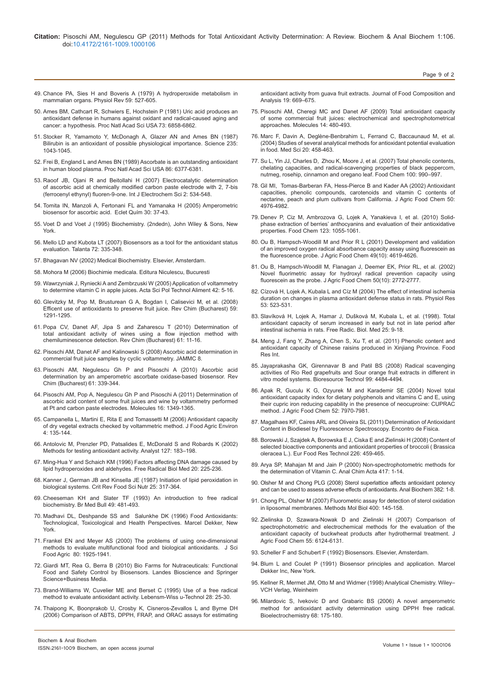- 49. [Chance PA, Sies H and Boveris A \(1979\) A hydroperoxide metabolism in](http://www.ncbi.nlm.nih.gov/pubmed/37532) mammalian organs. Physiol Rev 59: 527-605.
- 50. [Ames BM, Cathcart R, Schwiers E, Hochstein P \(1981\) Uric acid produces an](http://www.ncbi.nlm.nih.gov/pubmed?term=Uric%20acid%20produces%20an%20antioxidant%20defense%20in%20humans%20against%20oxidant%20and%20radical-caused%20aging%20and%20cancer%3A%20a%20hypothesis) antioxidant defense in humans against oxidant and radical-caused aging and cancer: a hypothesis. Proc Natl Acad Sci USA 73: 6858-6862.
- 51. [Stocker R, Yamamoto Y, McDonagh A, Glazer AN and Ames BN \(1987\)](http://www.ncbi.nlm.nih.gov/pubmed/3029864) Bilirubin is an antioxidant of possible physiological importance. Science 235: 1043-1045.
- 52. [Frei B, England L and Ames BN \(1989\) Ascorbate is an outstanding antioxidant](http://www.ncbi.nlm.nih.gov/pubmed?term=Ascorbate%20is%20an%20outstanding%20antioxidant%20in%20human%20blood%20plasma) in human blood plasma. Proc Natl Acad Sci USA 86: 6377-6381.
- 53. [Raoof JB, Ojani R and Beitollahi H \(2007\) Electrocatalytic determination](http://www.akademik.unsri.ac.id/download/journal/files/electrochemsci/2070534-oaj-unsri.pdf) of ascorbic acid at chemically modified carbon paste electrode with 2, 7-bis (ferrocenyl ethynyl) fluoren-9-one. Int J Electrochem Sci 2: 534-548.
- 54. [Tomita IN, Manzoli A, Fertonani FL and Yamanaka H \(2005\) Amperometric](http://www.scielo.br/scielo.php?pid=S0100-46702005000200005&script=sci_arttext) biosensor for ascorbic acid. Eclet Quím 30: 37-43.
- 55. [Voet D and Voet J \(1995\) Biochemistry. \(2ndedn\), John Wiley & Sons, New](http://books.google.co.in/books?id=HQ9rAAAAMAAJ&dq=editions:4rBnIdlPcecC) York.
- 56. [Mello LD and Kubota LT \(2007\) Biosensors as a tool for the antioxidant status](http://www.ncbi.nlm.nih.gov/pubmed?term=Biosensors%20as%20a%20tool%20for%20the%20antioxidant%20status%20evaluation.%20) evaluation. Talanta 72: 335-348.
- 57. [Bhagavan NV \(2002\) Medical Biochemistry. Elsevier, Amsterdam.](http://books.google.co.in/books?id=b7Dc9bOs9uAC&printsec=frontcover&dq=inauthor:%22N.+V.+Bhagavan%22&hl=en&ei=yhq9Ttq1G8_wrQestfTeAQ&sa=X&oi=book_result&ct=result&resnum=1&ved=0CC0Q6AEwAA#v=onepage&q&f=false)
- 58. Mohora M (2006) Biochimie medicala. Editura Niculescu, Bucuresti
- 59. [Wawrzyniak J, Ryniecki A and Zembrzuski W \(2005\) Application of voltammetry](http://www.food.actapol.net/pub/1_2_2005.pdf) to determine vitamin C in apple juices. Acta Sci Pol Technol Aliment 42: 5-16.
- 60. [Glevitzky M, Pop M, Brusturean G A, Bogdan I, Calisevici M, et al. \(2008\)](http://www.revistadechimie.ro/pdf/GLEWITZKY.pdf) Efficent use of antioxidants to preserve fruit juice. Rev Chim (Bucharest) 59: 1291-1295.
- 61. [Popa CV, Danet AF, Jipa S and Zaharescu T \(2010\) Determination of](http://www.revistadechimie.ro/pdf/POAPA%20C%201%2010.pdf) total antioxidant activity of wines using a flow injection method with chemiluminescence detection. Rev Chim (Bucharest) 61: 11-16.
- 62. [Pisoschi AM, Danet AF and Kalinowski S \(2008\) Ascorbic acid determination in](http://www.ncbi.nlm.nih.gov/pubmed?term=Ascorbic%20acid%20determination%20in%20commercial%20fruit%20juice%20samples%20by%20cyclic%20voltammetry) commercial fruit juice samples by cyclic voltammetry. JAMMC 8.
- 63. [Pisoschi AM, Negulescu Gh P and Pisoschi A \(2010\) Ascorbic acid](http://www.revistadechimie.ro/pdf/PISOSCHI%20A%20M.pdf%202%2010.pdf) determination by an amperometric ascorbate oxidase-based biosensor. Rev Chim (Bucharest) 61: 339-344.
- 64. [Pisoschi AM, Pop A, Negulescu Gh P and Pisoschi A \(2011\) Determination of](http://www.ncbi.nlm.nih.gov/pubmed?term=Determination%20of%20ascorbic%20acid%20content%20of%20some%20fruit%20juices%20and%20wine%20by%20voltammetry%20performed%20at%20Pt%20and%20carbon%20paste%20electrodes.) ascorbic acid content of some fruit juices and wine by voltammetry performed at Pt and carbon paste electrodes. Molecules 16: 1349-1365.
- 65. [Campanella L, Martini E, Rita E and Tomassetti M \(2006\) Antioxidant capacity](http://cat.inist.fr/?aModele=afficheN&cpsidt=17447307) of dry vegetal extracts checked by voltammetric method. J Food Agric Environ 4: 135-144.
- 66. [Antolovic M, Prenzler PD, Patsalides E, McDonald S and Robards K \(2002\)](http://pubs.rsc.org/en/content/articlelanding/2002/an/b009171p/unauth) Methods for testing antioxidant activity. Analyst 127: 183–198.
- 67. [Ming-Hua Y and Schaich KM \(1996\) Factors affecting DNA damage caused by](http://www.ncbi.nlm.nih.gov/pubmed?term=Factors%20affecting%20DNA%20damage%20caused%20by%20lipid%20hydroperoxides%20and%20aldehydes) lipid hydroperoxides and aldehydes. Free Radical Biol Med 20: 225-236.
- 68. [Kanner J, German JB and Kinsella JE \(1987\) Initiation of lipid peroxidation in](http://www.ncbi.nlm.nih.gov/pubmed/3304843) biological systems. Crit Rev Food Sci Nutr 25: 317-364.
- 69. [Cheeseman KH and Slater TF \(1993\) An introduction to free radical](http://www.ncbi.nlm.nih.gov/pubmed/8221017) biochemistry. Br Med Bull 49: 481-493.
- 70. [Madhavi DL, Deshpande SS and Salunkhe DK \(1996\) Food Antioxidants:](http://books.google.co.in/books?id=zKCx3RWGn94C&dq=Food+Antioxidants:+Technological,+Toxicological+and+Health+Perspectives&hl=en&ei=pR29Tu60LovJrAfW44zvAQ&sa=X&oi=book_result&ct=result&resnum=1&sqi=2&ved=0CDkQ6AEwAA) Technological, Toxicological and Health Perspectives. Marcel Dekker, New York.
- 71. [Frankel EN and Meyer AS \(2000\) The problems of using one-dimensional](http://onlinelibrary.wiley.com/doi/10.1002/1097-0010%28200010%2980:13%3C1925::AID-JSFA714%3E3.0.CO;2-4/full) methods to evaluate multifunctional food and biological antioxidants. J Sci Food Agric 80: 1925-1941.
- 72. Giardi MT, Rea G, Berra B (2010) Bio Farms for Nutraceuticals: Functional [Food and Safety Control by Biosensors. Landes Bioscience and Springer](http://books.google.co.in/books?id=UO-o6ieZNhkC&printsec=frontcover&dq=Bio+Farms+for+Nutraceuticals:+Functional+Food+and+Safety+Control+by+Biosensors&hl=en&ei=NB69Tou5CMeHrAe-2_DZAQ&sa=X&oi=book_result&ct=result&resnum=1&ved=0CDkQ6AEwAA#v=onepage&q&f=false) Science+Business Media.
- 73. [Brand-Williams W, Cuvelier ME and Berset C \(1995\) Use of a free radical](http://www.sciencedirect.com/science/article/pii/S0023643895800085) method to evaluate antioxidant activity. Lebensm-Wiss u-Technol 28: 25-30.
- 74. [Thaipong K, Boonprakob U, Crosby K, Cisneros-Zevallos L and Byrne DH](http://www.sciencedirect.com/science/article/pii/S0889157506000081) (2006) Comparison of ABTS, DPPH, FRAP, and ORAC assays for estimating

[antioxidant activity from guava fruit extracts. Journal of Food Composition and](http://www.sciencedirect.com/science/article/pii/S0889157506000081)  Analysis 19: 669–675.

- 75. [Pisoschi AM, Cheregi MC and Danet AF \(2009\) Total antioxidant capacity](http://www.ncbi.nlm.nih.gov/pubmed?term=Total%20antioxidant%20capacity%20of%20some%20commercial%20fruit%20juices%3A%20electrochemical%20and%20spectrophotometrical%20approaches)  of some commercial fruit juices: electrochemical and spectrophotometrical approaches. Molecules 14: 480-493.
- 76. [Marc F, Davin A, Deglène-Benbrahim L, Ferrand C, Baccaunaud M, et al.](http://www.ncbi.nlm.nih.gov/pubmed?term=M%C3%A9thodes%20d%E2%80%99%C3%A9valuation%20du%20potentiel%20antioxydant%20dans%20les%20aliments.%20)  (2004) Studies of several analytical methods for antioxidant potential evaluation in food. Med Sci 20: 458-463.
- 77. [Su L, Yin JJ, Charles D, Zhou K, Moore J, et al. \(2007\) Total phenolic contents,](http://www.sciencedirect.com/science/article/pii/S0308814605009660)  chelating capacities, and radical-scavenging properties of black peppercorn, nutmeg, rosehip, cinnamon and oregano leaf. Food Chem 100: 990–997.
- 78. [Gil MI, Tomas-Barberan FA, Hess-Pierce B and Kader AA \(2002\) Antioxidant](http://www.ncbi.nlm.nih.gov/pubmed?term=Antioxidant%20capacities%2C%20phenolic%20compounds%2C%20carotenoids%20and%20vitamin%20C%20contents%20of%20nectarine%2C%20peach%20and%20plum%20cultivars%20from%20California)  capacities, phenolic compounds, carotenoids and vitamin C contents of nectarine, peach and plum cultivars from California. J Agric Food Chem 50: 4976-4982.
- 79. Denev P, Ciz M, Ambrozova G, Lojek A, Yanakieva I, et al. (2010) Solid[phase extraction of berries' anthocyanins and evaluation of their antioxidative](http://www.sciencedirect.com/science/article/pii/S0308814610006357)  properties. Food Chem 123: 1055-1061.
- 80. [Ou B, Hampsch-Woodill M and Prior R L \(2001\) Development and validation](http://www.ncbi.nlm.nih.gov/pubmed?term=Development%20and%20validation%20of%20an%20improved%20oxygen%20radical%20absorbance%20capacity%20assay%20using%20fluorescein%20as%20the%20fluorescence%20probe.%20)  of an improved oxygen radical absorbance capacity assay using fluorescein as the fluorescence probe. J Agric Food Chem 49(10): 4619-4626.
- 81. Ou B, Hampsch-Woodill M, Flanagan J, Deemer EK, Prior RL, et al. (2002) [Novel fluorimetric assay for hydroxyl radical prevention capacity using](http://www.ncbi.nlm.nih.gov/pubmed?term=Novel%20fluorimetric%20assay%20for%20hydroxyl%20radical%20prevention%20capacity%20using%20fluorescein%20as%20the%20probe)  fluorescein as the probe. J Agric Food Chem 50(10): 2772-2777.
- 82. [Cízová H, Lojek A, Kubala L and Cíz M \(2004\) The effect of intestinal ischemia](http://www.ncbi.nlm.nih.gov/pubmed?term=The%20effect%20of%20intestinal%20ischemia%20duration%20on%20changes%20in%20plasma%20antioxidant%20defense%20status%20in%20rats.)  duration on changes in plasma antioxidant defense status in rats. Physiol Res 53: 523-531.
- 83. [Slavíková H, Lojek A, Hamar J, Dušková M, Kubala L, et al. \(1998\). Total](http://www.ncbi.nlm.nih.gov/pubmed/9655516)  antioxidant capacity of serum increased in early but not in late period after intestinal ischemia in rats. Free Radic. Biol. Med 25: 9-18.
- 84. [Meng J, Fang Y, Zhang A, Chen S, Xu T, et al. \(2011\) Phenolic content and](http://www.sciencedirect.com/science/article/pii/S0963996911004108)  antioxidant capacity of Chinese raisins produced in Xinjiang Province. Food Res Int.
- 85. [Jayaprakasha GK, Girennavar B and Patil BS \(2008\) Radical scavenging](http://www.ncbi.nlm.nih.gov/pubmed?term=Radical%20scavenging%20activities%20of%20Rio%20Red%20grapefruits%20and%20Sour%20orange%20fruit%20extracts%20in%20different%20in%20vitro%20model%20systems.)  activities of Rio Red grapefruits and Sour orange fruit extracts in different in vitro model systems. Bioresource Technol 99: 4484-4494.
- 86. [Apak R, Guculu K G, Ozyurek M and Karademir SE \(2004\) Novel total](http://www.ncbi.nlm.nih.gov/pubmed?term=Novel%20total%20antioxidant%20capacity%20index%20for%20dietary%20polyphenols%20and%20vitamins%20C%20and%20E%2C%20using%20their%20cupric%20iron%20reducing%20capability%20in%20the%20presence%20of%20neocuproine%3A%20CUP)  antioxidant capacity index for dietary polyphenols and vitamins C and E, using their cupric iron reducing capability in the presence of neocuproine: CUPRAC method. J Agric Food Chem 52: 7970-7981.
- 87. [Magalhaes KF, Caires ARL and Oliveira SL \(2011\) Determination of Antioxidant](http://www.sbf1.sbfisica.org.br/eventos/enf/2011/sys/resumos/R2666-2.pdf)  Content in Biodiesel by Fluorescence Spectroscopy. Encontro de Fisica.
- 88. [Borowski J, Szajdek A, Borowska E J, Ciska E and Zielinski H \(2008\) Content of](http://www.springerlink.com/content/t41142166k4n3503/)  selected bioactive components and antioxidant properties of broccoli ( Brassica oleracea L.). Eur Food Res Technol 226: 459-465.
- 89. [Arya SP, Mahajan M and Jain P \(2000\) Non-spectrophotometric methods for](http://www.sciencedirect.com/science/article/pii/S0003267000009090)  the determination of Vitamin C. Anal Chim Acta 417: 1-14.
- 90. [Olsher M and Chong PLG \(2008\) Sterol superlattice affects antioxidant potency](http://www.ncbi.nlm.nih.gov/pubmed?term=Sterol%20superlattice%20affects%20antioxidant%20potency%20and%20can%20be%20used%20to%20assess%20adverse%20effects%20of%20antioxidants)  and can be used to assess adverse effects of antioxidants. Anal Biochem 382: 1-8.
- 91. [Chong PL, Olsher M \(2007\) Fluorometric assay for detection of sterol oxidation](http://www.ncbi.nlm.nih.gov/pubmed?term=Fluorometric%20assay%20for%20detection%20of%20sterol%20oxidation%20in%20liposomal%20membranes.)  in liposomal membranes. Methods Mol Biol 400: 145-158.
- 92. [Zielinska D, Szawara-Nowak D and Zielinski H \(2007\) Comparison of](http://www.ncbi.nlm.nih.gov/pubmed?term=Comparison%20of%20spectrophotometric%20and%20electrochemical%20methods%20for%20the%20evaluation%20of%20the%20antioxidant%20capacity%20of%20buckwheat%20products%20after%20hydrothermal%20treatment)  spectrophotometric and electrochemical methods for the evaluation of the antioxidant capacity of buckwheat products after hydrothermal treatment. J Agric Food Chem 55: 6124-6131.
- 93. [Scheller F and Schubert F \(1992\) Biosensors. Elsevier, Amsterdam.](http://books.google.co.in/books?id=TF7AW4kSY1gC&printsec=frontcover&dq=Biosensors&hl=en&ei=FyC9TqzGHs3nrAebzOilAQ&sa=X&oi=book_result&ct=result&resnum=5&ved=0CE8Q6AEwBA#v=onepage&q&f=false)
- 94. Blum L and Coulet P (1991) Biosensor principles and application. Marcel Dekker Inc, New York.
- 95. Kellner R, Mermet JM, Otto M and Widmer (1998) Analytical Chemistry. Wiley– VCH Verlag, Weinheim
- 96. [Milardovic S, Ivekovic D and Grabaric BS \(2006\) A novel amperometric](http://www.ncbi.nlm.nih.gov/pubmed?term=A%20novel%20amperometric%20method%20for%20antioxidant%20activity%20determination%20using%20DPPH%20free%20radical.)  method for antioxidant activity determination using DPPH free radical. Bioelectrochemistry 68: 175-180.